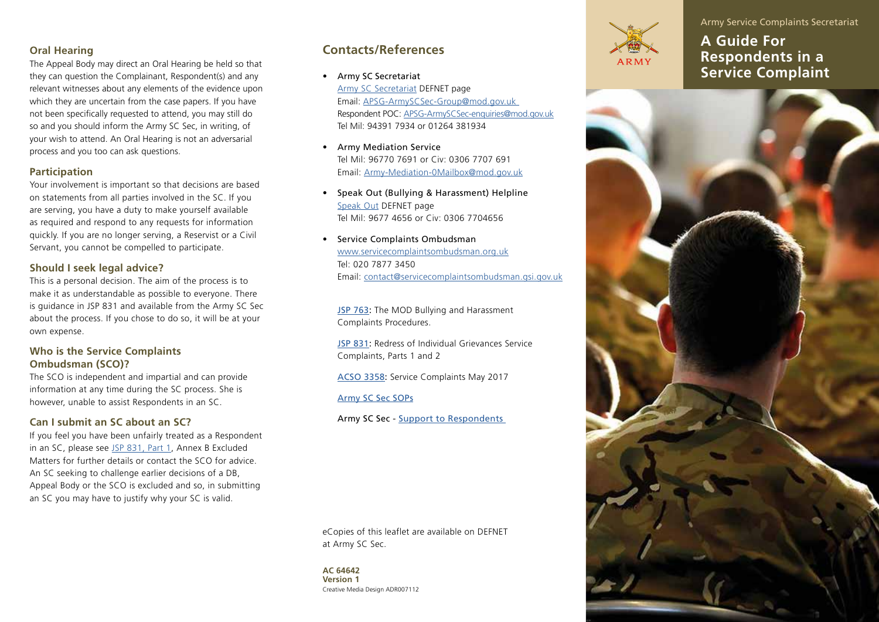# **Oral Hearing**

The Appeal Body may direct an Oral Hearing be held so that they can question the Complainant, Respondent(s) and any relevant witnesses about any elements of the evidence upon which they are uncertain from the case papers. If you have not been specifically requested to attend, you may still do so and you should inform the Army SC Sec, in writing, of your wish to attend. An Oral Hearing is not an adversarial process and you too can ask questions.

# **Participation**

Your involvement is important so that decisions are based on statements from all parties involved in the SC. If you are serving, you have a duty to make yourself available as required and respond to any requests for information quickly. If you are no longer serving, a Reservist or a Civil Servant, you cannot be compelled to participate.

# **Should I seek legal advice?**

This is a personal decision. The aim of the process is to make it as understandable as possible to everyone. There is guidance in JSP 831 and available from the Army SC Sec about the process. If you chose to do so, it will be at your own expense.

# **Who is the Service Complaints Ombudsman (SCO)?**

The SCO is independent and impartial and can provide information at any time during the SC process. She is however, unable to assist Respondents in an SC.

### **Can I submit an SC about an SC?**

If you feel you have been unfairly treated as a Respondent in an SC, please see [JSP 831, Part 1](http://defenceintranet.diif.r.mil.uk/libraries/library1/DINSJSPS/20151214.1/JSP831_Part1.pdf), Annex B Excluded Matters for further details or contact the SCO for advice. An SC seeking to challenge earlier decisions of a DB, Appeal Body or the SCO is excluded and so, in submitting an SC you may have to justify why your SC is valid.

# **Contacts/References**

• Army SC Secretariat

[Army SC Secretariat](http://defenceintranet.diif.r.mil.uk/Organisations/Orgs/Army/Organisations/Orgs/ag/Organisations/Orgs/dgpers/Organisations/Orgs/dpsa/Orgs/ps2/Pages/PS2ASerComp.aspx) DEFNET page Email: [APSG-ArmySCSec-Group@mod.gov.uk](mailto:APSG-ArmySCSec-Group@mod.gov.uk)  Respondent POC: [APSG-ArmySCSec-enquiries@mod.gov.uk](http://APSG-ArmySCSec-Enquiries@mod.gov.uk) Tel Mil: 94391 7934 or 01264 381934

- Army Mediation Service Tel Mil: 96770 7691 or Civ: 0306 7707 691 Email: [Army-Mediation-0Mailbox@mod.gov.uk](http://Army-Mediation-0Mailbox@mod.gov.uk)
- Speak Out (Bullying & Harassment) Helpline [Speak Out](http://defenceintranet.diif.r.mil.uk/Organisations/Orgs/Army/Organisations/Orgs/ag/Organisations/Orgs/dgpers/Organisations/Orgs/dma/Employment/DiversityInclusion/Pages/SpeakOutHelplineandArmyMediationService%201.aspx) DEFNET page Tel Mil: 9677 4656 or Civ: 0306 7704656
- Service Complaints Ombudsman [www.servicecomplaintsombudsman.org.uk](https://www.servicecomplaintsombudsman.org.uk/) Tel: 020 7877 3450 Email: [contact@servicecomplaintsombudsman.gsi.gov.uk](http://:contact@servicecomplaintsombudsman.gsi.gov.uk)

[JSP 763](http://defenceintranet.diif.r.mil.uk/libraries/library1/DINSJSPS/20110714.1/JSP763.pdf): The MOD Bullying and Harassment Complaints Procedures.

[JSP 831](http://defenceintranet.diif.r.mil.uk/Reference/DINsJSPs/Pages/JSP831.aspx): Redress of Individual Grievances Service Complaints, Parts 1 and 2

[ACSO 3358:](http://defenceintranet.diif.r.mil.uk/libraries/corporate/Army/Publications/ACSO_3358.pdf) Service Complaints May 2017

[Army SC Sec SOPs](http://defenceintranet.diif.r.mil.uk/libraries/1/Docs9/20170530.1/APSG%20SCSec%2020170612-Army%20SC%20Sec-Service%20Complants%20SOP-31%20May%2017%20v2-O.doc)

Army SC Sec - [Support to Respondents](http://defenceintranet.diif.r.mil.uk/libraries/1/Docs9/20170726.1/APSG%20SC%2020170815_ASCS_Landing_Page_Respondents.docx) 

eCopies of this leaflet are available on DEFNET at Army SC Sec.

Creative Media Design ADR007112 **AC 64642 Version 1**



**A Guide For Respondents in a Service Complaint** 

Army Service Complaints Secretariat